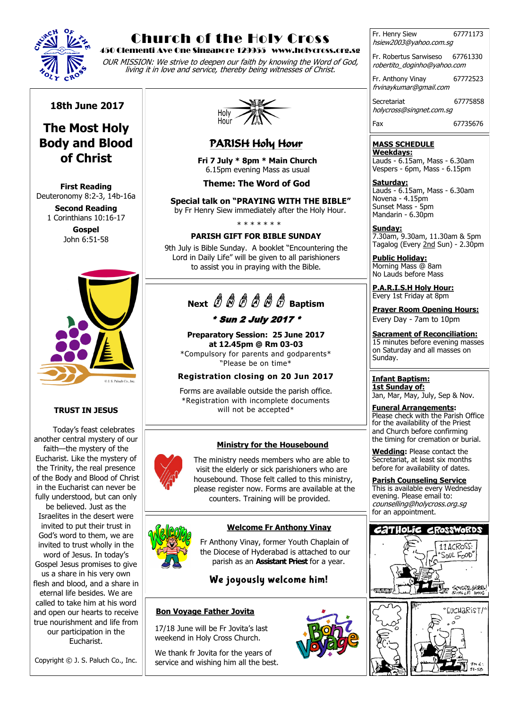

# Church of the Holy Cross

#### 450 Clementi Ave One Singapore 129955 www.holycross.org.sg

OUR MISSION: We strive to deepen our faith by knowing the Word of God, living it in love and service, thereby being witnesses of Christ.

Fr. Henry Siew 67771173 hsiew2003@yahoo.com.sg

Fr. Robertus Sarwiseso 67761330 robertito\_doginho@yahoo.com

Fr. Anthony Vinay 67772523 frvinaykumar@gmail.com

Secretariat 67775858 holycross@singnet.com.sg

Fax 67735676

#### **MASS SCHEDULE Weekdays:**

Lauds - 6.15am, Mass - 6.30am Vespers - 6pm, Mass - 6.15pm

**Saturday:** Lauds - 6.15am, Mass - 6.30am Novena - 4.15pm Sunset Mass - 5pm Mandarin - 6.30pm

**Sunday:** 7.30am, 9.30am, 11.30am & 5pm Tagalog (Every 2nd Sun) - 2.30pm

**Public Holiday:**  Morning Mass @ 8am No Lauds before Mass

**P.A.R.I.S.H Holy Hour:** Every 1st Friday at 8pm

**Prayer Room Opening Hours:** Every Day - 7am to 10pm

**Sacrament of Reconciliation:** 15 minutes before evening masses on Saturday and all masses on Sunday.

**Infant Baptism: 1st Sunday of:** Jan, Mar, May, July, Sep & Nov.

**Funeral Arrangements:**  Please check with the Parish Office for the availability of the Priest and Church before confirming the timing for cremation or burial.

**Wedding:** Please contact the Secretariat, at least six months before for availability of dates.

**Parish Counseling Service** This is available every Wednesday evening. Please email to: counselling@holycross.org.sg for an appointment.



#### **18th June 2017**

# **The Most Holy Body and Blood of Christ**

**First Reading**  Deuteronomy 8:2-3, 14b-16a

> **Second Reading** 1 Corinthians 10:16-17

**Gospel** John 6:51-58



#### **TRUST IN JESUS**

Today's feast celebrates another central mystery of our faith—the mystery of the Eucharist. Like the mystery of the Trinity, the real presence of the Body and Blood of Christ in the Eucharist can never be fully understood, but can only be believed. Just as the Israelites in the desert were invited to put their trust in God's word to them, we are invited to trust wholly in the word of Jesus. In today's Gospel Jesus promises to give us a share in his very own flesh and blood, and a share in eternal life besides. We are called to take him at his word and open our hearts to receive true nourishment and life from our participation in the Eucharist.

Copyright © J. S. Paluch Co., Inc.



### PARISH Holy Hour

 **Fri 7 July \* 8pm \* Main Church** 6.15pm evening Mass as usual

**Theme: The Word of God**

 **Special talk on "PRAYING WITH THE BIBLE"** by Fr Henry Siew immediately after the Holy Hour.

\* \* \* \* \* \* \*

#### **PARISH GIFT FOR BIBLE SUNDAY**

9th July is Bible Sunday. A booklet "Encountering the Lord in Daily Life" will be given to all parishioners to assist you in praying with the Bible.

# **Next**  $\stackrel{a}{U}$   $\stackrel{a}{W}$   $\stackrel{a}{U}$   $\stackrel{a}{W}$   $\stackrel{a}{W}$   $\stackrel{a}{U}$  Baptism

### \* Sun 2 July 2017 \*

**Preparatory Session: 25 June 2017 at 12.45pm @ Rm 03-03** \*Compulsory for parents and godparents\*

"Please be on time\*

# **Registration closing on 20 Jun 2017**

Forms are available outside the parish office. \*Registration with incomplete documents will not be accepted\*

#### **Ministry for the Housebound**

 The ministry needs members who are able to visit the elderly or sick parishioners who are housebound. Those felt called to this ministry, please register now. Forms are available at the counters. Training will be provided.

#### **Welcome Fr Anthony Vinay**

 Fr Anthony Vinay, former Youth Chaplain of the Diocese of Hyderabad is attached to our parish as an **Assistant Priest** for a year.

We joyously welcome him!

#### **Bon Voyage Father Jovita**

 17/18 June will be Fr Jovita's last weekend in Holy Cross Church.

 We thank fr Jovita for the years of service and wishing him all the best.